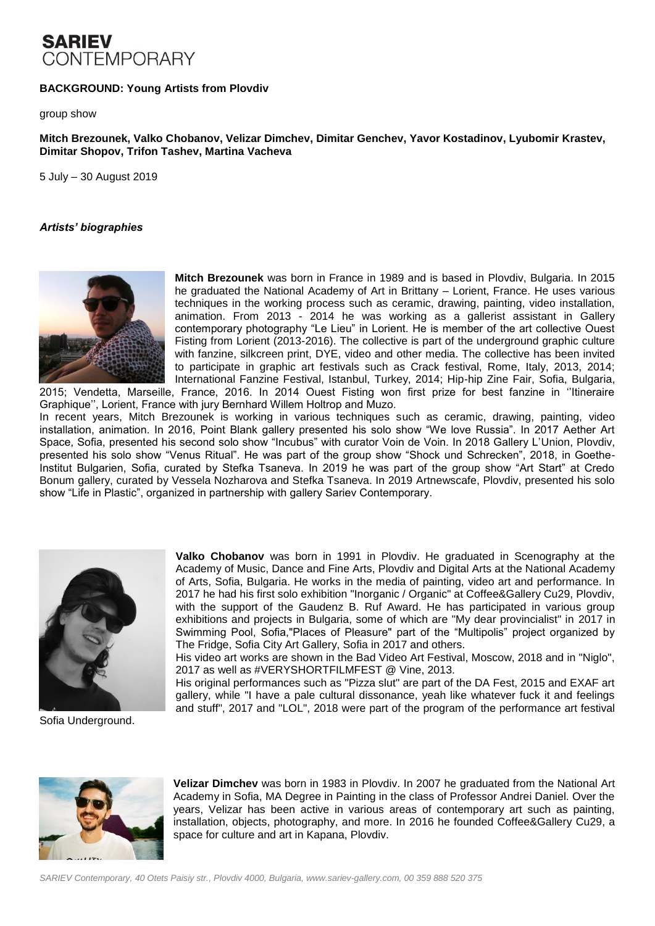# **SARIEV** CONTEMPORARY

### **BACKGROUND: Young Artists from Plovdiv**

group show

### **Mitch Brezounek, Valko Chobanov, Velizar Dimchev, Dimitar Genchev, Yavor Kostadinov, Lyubomir Krastev, Dimitar Shopov, Trifon Tashev, Martina Vacheva**

5 July – 30 August 2019

#### *Artists' biographies*



**Mitch Brezounek** was born in France in 1989 and is based in Plovdiv, Bulgaria. In 2015 he graduated the National Academy of Art in Brittany – Lorient, France. He uses various techniques in the working process such as ceramic, drawing, painting, video installation, animation. From 2013 - 2014 he was working as a gallerist assistant in Gallery contemporary photography "Le Lieu" in Lorient. He is member of the art collective Ouest Fisting from Lorient (2013-2016). The collective is part of the underground graphic culture with fanzine, silkcreen print, DYE, video and other media. The collective has been invited to participate in graphic art festivals such as Crack festival, Rome, Italy, 2013, 2014; International Fanzine Festival, Istanbul, Turkey, 2014; Hip-hip Zine Fair, Sofia, Bulgaria, 2015; Vendetta, Marseille, France, 2016. In 2014 Ouest Fisting won first prize for best fanzine in ''Itineraire

Graphique'', Lorient, France with jury Bernhard Willem Holtrop and Muzo. In recent years, Mitch Brezounek is working in various techniques such as ceramic, drawing, painting, video installation, animation. In 2016, Point Blank gallery presented his solo show "We love Russia". In 2017 Aether Art Space, Sofia, presented his second solo show "Incubus" with curator Voin de Voin. In 2018 Gallery L'Union, Plovdiv, presented his solo show "Venus Ritual". He was part of the group show "Shock und Schrecken", 2018, in Goethe-Institut Bulgarien, Sofia, curated by Stefka Tsaneva. In 2019 he was part of the group show "Art Start" at Credo Bonum gallery, curated by Vessela Nozharova and Stefka Tsaneva. In 2019 Artnewscafe, Plovdiv, presented his solo

show "Life in Plastic", organized in partnership with gallery Sariev Contemporary.



Sofia Underground.

**Valko Chobanov** was born in 1991 in Plovdiv. He graduated in Scenography at the Academy of Music, Dance and Fine Arts, Plovdiv and Digital Arts at the National Academy of Arts, Sofia, Bulgaria. He works in the media of painting, video art and performance. In 2017 he had his first solo exhibition "Inorganic / Organic" at Coffee&Gallery Cu29, Plovdiv, with the support of the Gaudenz B. Ruf Award. He has participated in various group exhibitions and projects in Bulgaria, some of which are "My dear provincialist" in 2017 in Swimming Pool, Sofia,"Places of Pleasure" part of the "Multipolis" project organized by The Fridge, Sofia City Art Gallery, Sofia in 2017 and others.

His video art works are shown in the Bad Video Art Festival, Moscow, 2018 and in "Niglo", 2017 as well as #VERYSHORTFILMFEST @ Vine, 2013.

His original performances such as "Pizza slut" are part of the DA Fest, 2015 and EXAF art gallery, while "I have a pale cultural dissonance, yeah like whatever fuck it and feelings and stuff", 2017 and "LOL", 2018 were part of the program of the performance art festival



**Velizar Dimchev** was born in 1983 in Plovdiv. In 2007 he graduated from the National Art Academy in Sofia, MA Degree in Painting in the class of Professor Andrei Daniel. Over the years, Velizar has been active in various areas of contemporary art such as painting, installation, objects, photography, and more. In 2016 he founded Coffee&Gallery Cu29, a space for culture and art in Kapana, Plovdiv.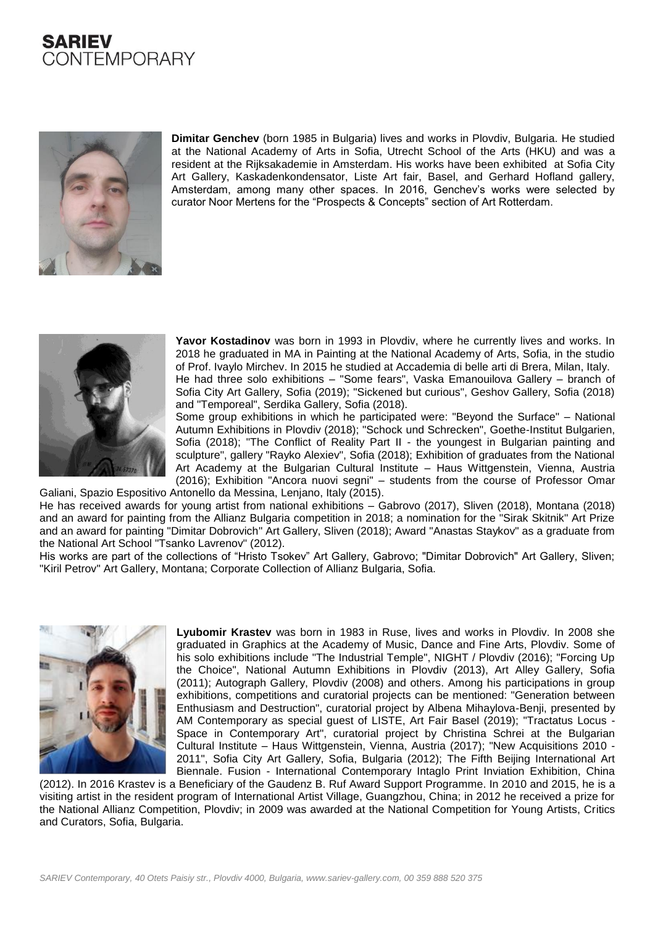# **SARIEV** CONTEMPORARY



**Dimitar Genchev** (born 1985 in Bulgaria) lives and works in Plovdiv, Bulgaria. He studied at the National Academy of Arts in Sofia, Utrecht School of the Arts (HKU) and was a resident at the Rijksakademie in Amsterdam. His works have been exhibited at Sofia City Art Gallery, Kaskadenkondensator, Liste Art fair, Basel, and Gerhard Hofland gallery, Amsterdam, among many other spaces. In 2016, Genchev's works were selected by curator Noor Mertens for the "Prospects & Concepts" section of Art Rotterdam.



**Yavor Kostadinov** was born in 1993 in Plovdiv, where he currently lives and works. In 2018 he graduated in MA in Painting at the National Academy of Arts, Sofia, in the studio of Prof. Ivaylo Mirchev. In 2015 he studied at Accademia di belle arti di Brera, Milan, Italy. He had three solo exhibitions – "Some fears", Vaska Emanouilova Gallery – branch of Sofia City Art Gallery, Sofia (2019); "Sickened but curious", Geshov Gallery, Sofia (2018) and "Temporeal", Serdika Gallery, Sofia (2018).

Some group exhibitions in which he participated were: "Beyond the Surface" – National Autumn Exhibitions in Plovdiv (2018); "Schock und Schrecken", Goethe-Institut Bulgarien, Sofia (2018); "The Conflict of Reality Part II - the youngest in Bulgarian painting and sculpture", gallery "Rayko Alexiev", Sofia (2018); Exhibition of graduates from the National Art Academy at the Bulgarian Cultural Institute – Haus Wittgenstein, Vienna, Austria (2016); Exhibition "Ancora nuovi segni" – students from the course of Professor Omar Galiani, Spazio Espositivo Antonello da Messina, Lenjano, Italy (2015).

He has received awards for young artist from national exhibitions – Gabrovo (2017), Sliven (2018), Montana (2018) and an award for painting from the Allianz Bulgaria competition in 2018; a nomination for the "Sirak Skitnik" Art Prize and an award for painting "Dimitar Dobrovich" Art Gallery, Sliven (2018); Award "Anastas Staykov" as a graduate from the National Art School "Tsanko Lavrenov" (2012).

His works are part of the collections of "Hristo Tsokev" Art Gallery, Gabrovo; "Dimitar Dobrovich" Art Gallery, Sliven; "Kiril Petrov" Art Gallery, Montana; Corporate Collection of Allianz Bulgaria, Sofia.



**Lyubomir Krastev** was born in 1983 in Ruse, lives and works in Plovdiv. In 2008 she graduated in Graphics at the Academy of Music, Dance and Fine Arts, Plovdiv. Some of his solo exhibitions include "The Industrial Temple", NIGHT / Plovdiv (2016); "Forcing Up the Choice", National Autumn Exhibitions in Plovdiv (2013), Art Alley Gallery, Sofia (2011); Autograph Gallery, Plovdiv (2008) and others. Among his participations in group exhibitions, competitions and curatorial projects can be mentioned: "Generation between Enthusiasm and Destruction", curatorial project by Albena Mihaylova-Benji, presented by AM Contemporary as special guest of LISTE, Art Fair Basel (2019); "Tractatus Locus - Space in Contemporary Art", curatorial project by Christina Schrei at the Bulgarian Cultural Institute – Haus Wittgenstein, Vienna, Austria (2017); "New Acquisitions 2010 - 2011", Sofia City Art Gallery, Sofia, Bulgaria (2012); The Fifth Beijing International Art Biennale. Fusion - International Contemporary Intaglo Print Inviation Exhibition, China

(2012). In 2016 Krastev is a Beneficiary of the Gaudenz B. Ruf Award Support Programme. In 2010 and 2015, he is a visiting artist in the resident program of International Artist Village, Guangzhou, China; in 2012 he received a prize for the National Allianz Competition, Plovdiv; in 2009 was awarded at the National Competition for Young Artists, Critics and Curators, Sofia, Bulgaria.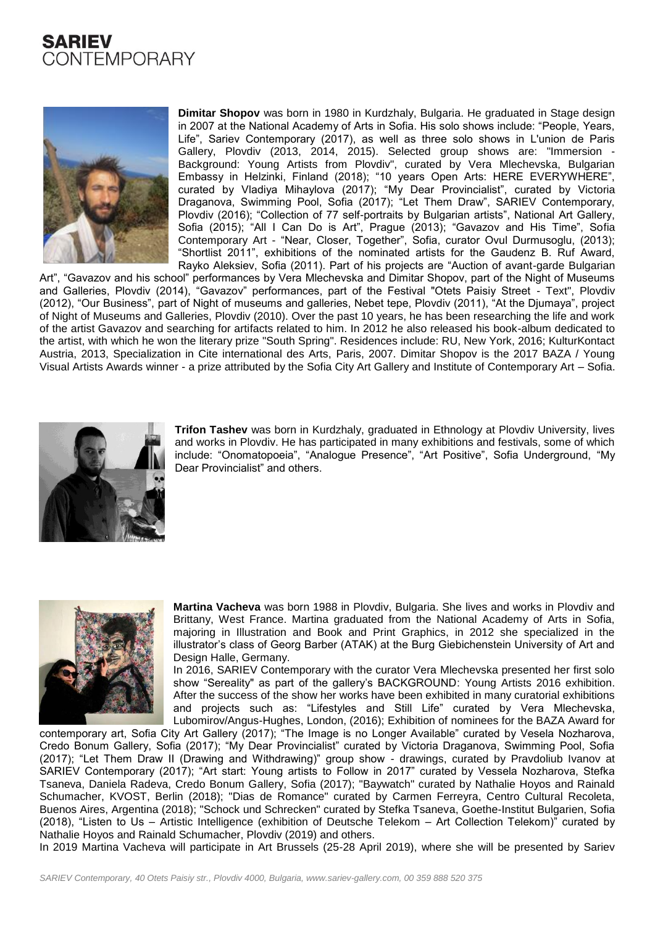



**Dimitar Shopov** was born in 1980 in Kurdzhaly, Bulgaria. He graduated in Stage design in 2007 at the National Academy of Arts in Sofia. His solo shows include: "People, Years, Life", Sariev Contemporary (2017), as well as three solo shows in L'union de Paris Gallery, Plovdiv (2013, 2014, 2015). Selected group shows are: "Immersion - Background: Young Artists from Plovdiv", curated by Vera Mlechevska, Bulgarian Embassy in Helzinki, Finland (2018); "10 years Open Arts: HERE EVERYWHERE", curated by Vladiya Mihaylova (2017); "My Dear Provincialist", curated by Victoria Draganova, Swimming Pool, Sofia (2017); "Let Them Draw", SARIEV Contemporary, Plovdiv (2016); "Collection of 77 self-portraits by Bulgarian artists", National Art Gallery, Sofia (2015); "All I Can Do is Art", Prague (2013); "Gavazov and His Time", Sofia Contemporary Art - "Near, Closer, Together", Sofia, curator Ovul Durmusoglu, (2013); "Shortlist 2011", exhibitions of the nominated artists for the Gaudenz B. Ruf Award, Rayko Aleksiev, Sofia (2011). Part of his projects are "Auction of avant-garde Bulgarian

Art", "Gavazov and his school" performances by Vera Mlechevska and Dimitar Shopov, part of the Night of Museums and Galleries, Plovdiv (2014), "Gavazov" performances, part of the Festival "Otets Paisiy Street - Text", Plovdiv (2012), "Our Business", part of Night of museums and galleries, Nebet tepe, Plovdiv (2011), "At the Djumaya", project of Night of Museums and Galleries, Plovdiv (2010). Over the past 10 years, he has been researching the life and work of the artist Gavazov and searching for artifacts related to him. In 2012 he also released his book-album dedicated to the artist, with which he won the literary prize "South Spring". Residences include: RU, New York, 2016; KulturKontact Austria, 2013, Specialization in Cite international des Arts, Paris, 2007. Dimitar Shopov is the 2017 BAZA / Young Visual Artists Awards winner - a prize attributed by the Sofia City Art Gallery and Institute of Contemporary Art – Sofia.



**Trifon Tashev** was born in Kurdzhaly, graduated in Ethnology at Plovdiv University, lives and works in Plovdiv. He has participated in many exhibitions and festivals, some of which include: "Onomatopoeia", "Analogue Presence", "Art Positive", Sofia Underground, "My Dear Provincialist" and others.



**Martina Vacheva** was born 1988 in Plovdiv, Bulgaria. She lives and works in Plovdiv and Brittany, West France. Martina graduated from the National Academy of Arts in Sofia, majoring in Illustration and Book and Print Graphics, in 2012 she specialized in the illustrator's class of Georg Barber (ATAK) at the Burg Giebichenstein University of Art and Design Halle, Germany.

In 2016, SARIEV Contemporary with the curator Vera Mlechevska presented her first solo show "Sereality" as part of the gallery's BACKGROUND: Young Artists 2016 exhibition. After the success of the show her works have been exhibited in many curatorial exhibitions and projects such as: "Lifestyles and Still Life" curated by Vera Mlechevska, Lubomirov/Angus-Hughes, London, (2016); Exhibition of nominees for the BAZA Award for

contemporary art, Sofia City Art Gallery (2017); "The Image is no Longer Available" curated by Vesela Nozharova, Credo Bonum Gallery, Sofia (2017); "My Dear Provincialist" curated by Victoria Draganova, Swimming Pool, Sofia (2017); "Let Them Draw II (Drawing and Withdrawing)" group show - drawings, curated by Pravdoliub Ivanov at SARIEV Contemporary (2017); "Art start: Young artists to Follow in 2017" curated by Vessela Nozharova, Stefka Tsaneva, Daniela Radeva, Credo Bonum Gallery, Sofia (2017); "Baywatch" curated by Nathalie Hoyos and Rainald Schumacher, KVOST, Berlin (2018); "Dias de Romance" curated by Carmen Ferreyra, Centro Cultural Recoleta, Buenos Aires, Argentina (2018); "Schock und Schrecken" curated by Stefka Tsaneva, Goethe-Institut Bulgarien, Sofia (2018), "Listen to Us – Artistic Intelligence (exhibition of Deutsche Telekom – Art Collection Telekom)" curated by Nathalie Hoyos and Rainald Schumacher, Plovdiv (2019) and others.

In 2019 Martina Vacheva will participate in Art Brussels (25-28 April 2019), where she will be presented by Sariev